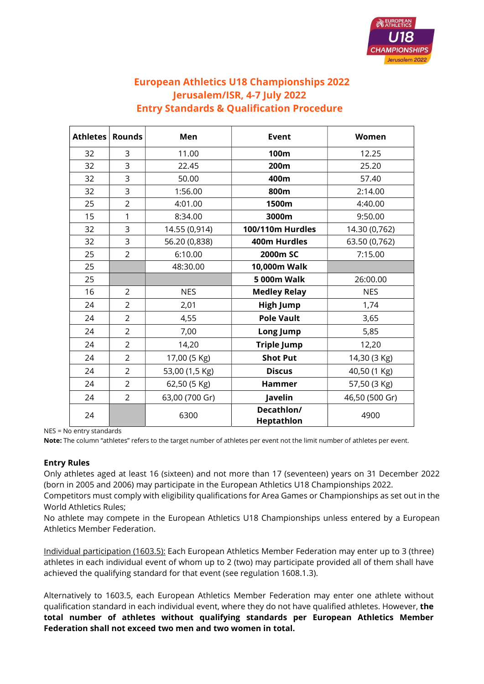

# European Athletics U18 Championships 2022 Jerusalem/ISR, 4-7 July 2022 Entry Standards & Qualification Procedure

| Athletes | <b>Rounds</b>  | Men            | <b>Event</b>             | Women          |
|----------|----------------|----------------|--------------------------|----------------|
| 32       | 3              | 11.00          | 100m                     | 12.25          |
| 32       | 3              | 22.45          | 200m                     | 25.20          |
| 32       | 3              | 50.00          | 400m                     | 57.40          |
| 32       | 3              | 1:56.00        | 800m                     | 2:14.00        |
| 25       | $\overline{2}$ | 4:01.00        | 1500m                    | 4:40.00        |
| 15       | 1              | 8:34.00        | 3000m                    | 9:50.00        |
| 32       | 3              | 14.55 (0,914)  | 100/110m Hurdles         | 14.30 (0,762)  |
| 32       | $\overline{3}$ | 56.20 (0,838)  | 400m Hurdles             | 63.50 (0,762)  |
| 25       | 2              | 6:10.00        | 2000m SC                 | 7:15.00        |
| 25       |                | 48:30.00       | 10,000m Walk             |                |
| 25       |                |                | <b>5 000m Walk</b>       | 26:00.00       |
| 16       | $\overline{2}$ | <b>NES</b>     | <b>Medley Relay</b>      | <b>NES</b>     |
| 24       | $\overline{2}$ | 2,01           | <b>High Jump</b>         | 1,74           |
| 24       | $\overline{2}$ | 4,55           | <b>Pole Vault</b>        | 3,65           |
| 24       | $\overline{2}$ | 7,00           | Long Jump                | 5,85           |
| 24       | $\overline{2}$ | 14,20          | <b>Triple Jump</b>       | 12,20          |
| 24       | $\overline{2}$ | 17,00 (5 Kg)   | <b>Shot Put</b>          | 14,30 (3 Kg)   |
| 24       | $\overline{2}$ | 53,00 (1,5 Kg) | <b>Discus</b>            | 40,50 (1 Kg)   |
| 24       | $\overline{2}$ | 62,50 (5 Kg)   | <b>Hammer</b>            | 57,50 (3 Kg)   |
| 24       | $\overline{2}$ | 63,00 (700 Gr) | Javelin                  | 46,50 (500 Gr) |
| 24       |                | 6300           | Decathlon/<br>Heptathlon | 4900           |

NES = No entry standards

Note: The column "athletes" refers to the target number of athletes per event not the limit number of athletes per event.

## Entry Rules

Only athletes aged at least 16 (sixteen) and not more than 17 (seventeen) years on 31 December 2022 (born in 2005 and 2006) may participate in the European Athletics U18 Championships 2022.

Competitors must comply with eligibility qualifications for Area Games or Championships as set out in the World Athletics Rules;

No athlete may compete in the European Athletics U18 Championships unless entered by a European Athletics Member Federation.

Individual participation (1603.5): Each European Athletics Member Federation may enter up to 3 (three) athletes in each individual event of whom up to 2 (two) may participate provided all of them shall have achieved the qualifying standard for that event (see regulation 1608.1.3).

Alternatively to 1603.5, each European Athletics Member Federation may enter one athlete without qualification standard in each individual event, where they do not have qualified athletes. However, the total number of athletes without qualifying standards per European Athletics Member Federation shall not exceed two men and two women in total.